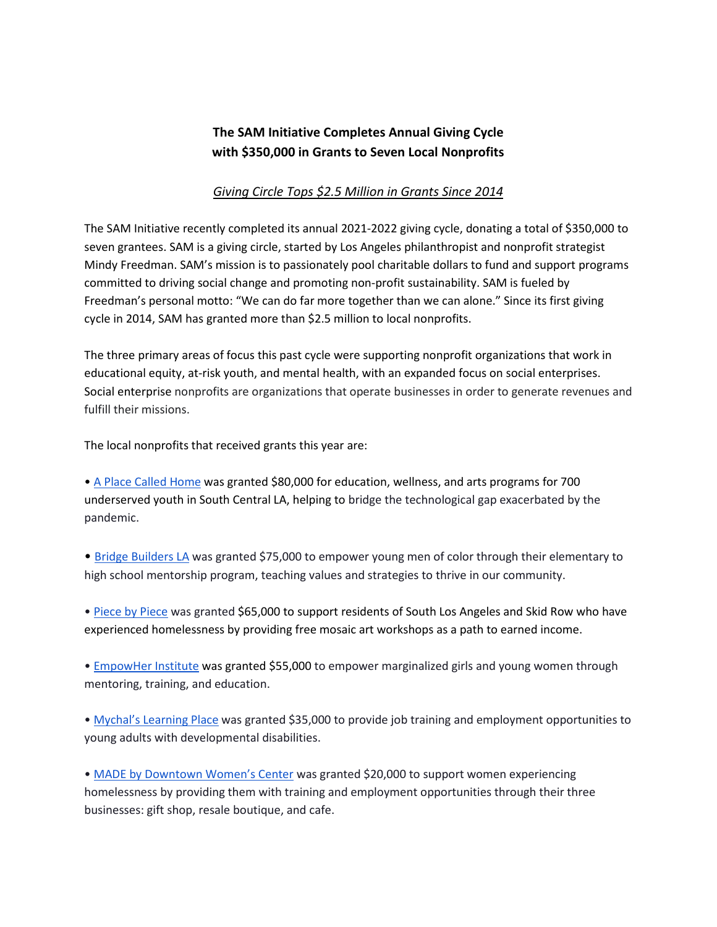## **The SAM Initiative Completes Annual Giving Cycle with \$350,000 in Grants to Seven Local Nonprofits**

## *Giving Circle Tops \$2.5 Million in Grants Since 2014*

The SAM Initiative recently completed its annual 2021-2022 giving cycle, donating a total of \$350,000 to seven grantees. SAM is a giving circle, started by Los Angeles philanthropist and nonprofit strategist Mindy Freedman. SAM's mission is to passionately pool charitable dollars to fund and support programs committed to driving social change and promoting non-profit sustainability. SAM is fueled by Freedman's personal motto: "We can do far more together than we can alone." Since its first giving cycle in 2014, SAM has granted more than \$2.5 million to local nonprofits.

The three primary areas of focus this past cycle were supporting nonprofit organizations that work in educational equity, at-risk youth, and mental health, with an expanded focus on social enterprises. Social enterprise nonprofits are organizations that operate businesses in order to generate revenues and fulfill their missions.

The local nonprofits that received grants this year are:

[•](http://www.apch.org/) [A Place Called Home](http://www.apch.org/) was granted \$80,000 for education, wellness, and arts programs for 700 underserved youth in South Central LA, helping to bridge the technological gap exacerbated by the pandemic.

• [Bridge Builders LA](https://www.bridgebuildersla.org/) was granted \$75,000 to empower young men of color through their elementary to high school mentorship program, teaching values and strategies to thrive in our community.

[•](http://www.piecebypiece.org/) [Piece by Piece](http://www.piecebypiece.org/) was granted \$65,000 to support residents of South Los Angeles and Skid Row who have experienced homelessness by providing free mosaic art workshops as a path to earned income.

[•](https://www.empoweringher.org/) [EmpowHer Institute](https://www.empoweringher.org/) was granted \$55,000 to empower marginalized girls and young women through mentoring, training, and education.

[•](http://www.mychals.org/) [Mychal's Learning Place](http://www.mychals.org/) was granted \$35,000 to provide job training and employment opportunities to young adults with developmental disabilities.

[•](https://downtownwomenscenter.org/) [MADE by Downtown Women's Center](https://downtownwomenscenter.org/) was granted \$20,000 to support women experiencing homelessness by providing them with training and employment opportunities through their three businesses: gift shop, resale boutique, and cafe.